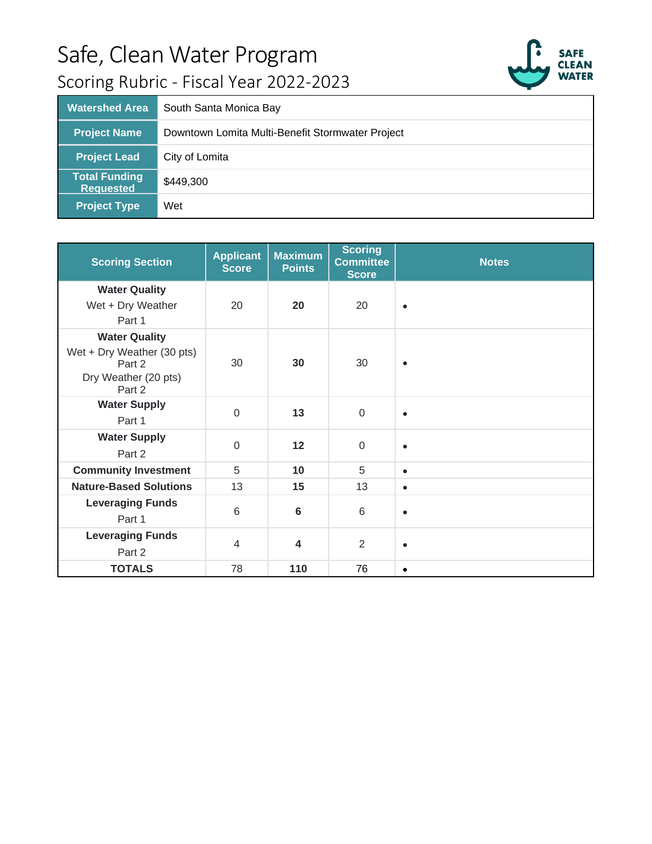

| <b>Watershed Area</b>             | South Santa Monica Bay                           |
|-----------------------------------|--------------------------------------------------|
| <b>Project Name</b>               | Downtown Lomita Multi-Benefit Stormwater Project |
| <b>Project Lead</b>               | City of Lomita                                   |
| Total Funding<br><b>Requested</b> | \$449,300                                        |
| <b>Project Type</b>               | Wet                                              |

| <b>Scoring Section</b>                                                                         | <b>Applicant</b><br><b>Score</b> | <b>Maximum</b><br><b>Points</b> | <b>Scoring</b><br><b>Committee</b><br><b>Score</b> | <b>Notes</b> |
|------------------------------------------------------------------------------------------------|----------------------------------|---------------------------------|----------------------------------------------------|--------------|
| <b>Water Quality</b><br>Wet + Dry Weather<br>Part 1                                            | 20                               | 20                              | 20                                                 | $\bullet$    |
| <b>Water Quality</b><br>Wet + Dry Weather (30 pts)<br>Part 2<br>Dry Weather (20 pts)<br>Part 2 | 30                               | 30                              | 30                                                 | $\bullet$    |
| <b>Water Supply</b><br>Part 1                                                                  | $\Omega$                         | 13                              | $\mathbf 0$                                        | $\bullet$    |
| <b>Water Supply</b><br>Part 2                                                                  | $\overline{0}$                   | 12                              | $\overline{0}$                                     | $\bullet$    |
| <b>Community Investment</b>                                                                    | 5                                | 10                              | 5                                                  | $\bullet$    |
| <b>Nature-Based Solutions</b>                                                                  | 13                               | 15                              | 13                                                 | $\bullet$    |
| <b>Leveraging Funds</b><br>Part 1                                                              | 6                                | $6\phantom{1}6$                 | 6                                                  | $\bullet$    |
| <b>Leveraging Funds</b><br>Part 2                                                              | $\overline{4}$                   | $\overline{\mathbf{4}}$         | $\overline{2}$                                     | $\bullet$    |
| <b>TOTALS</b>                                                                                  | 78                               | 110                             | 76                                                 | $\bullet$    |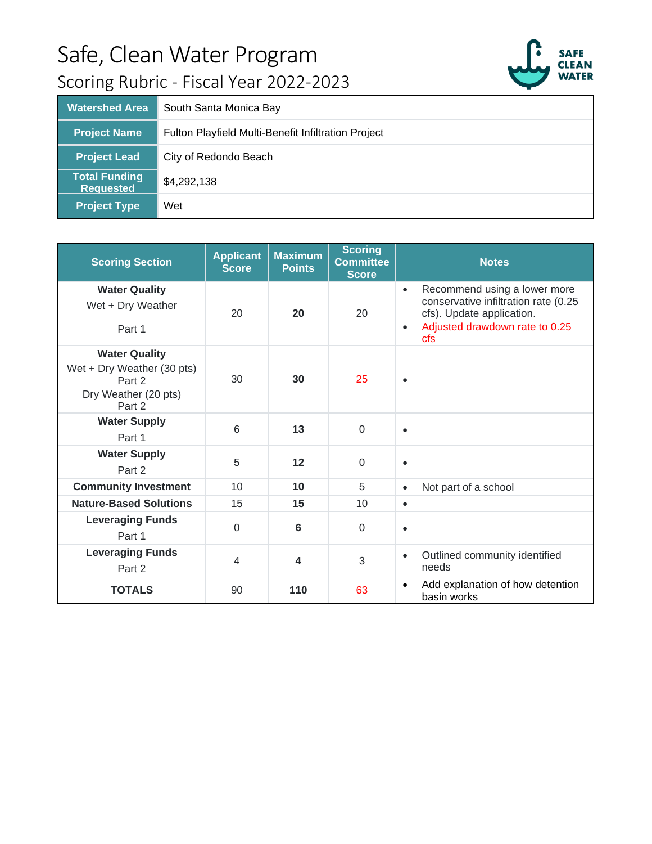

| <b>Watershed Area</b>                    | South Santa Monica Bay                              |
|------------------------------------------|-----------------------------------------------------|
| <b>Project Name</b>                      | Fulton Playfield Multi-Benefit Infiltration Project |
| <b>Project Lead</b>                      | City of Redondo Beach                               |
| <b>Total Funding</b><br><b>Requested</b> | \$4,292,138                                         |
| <b>Project Type</b>                      | Wet                                                 |

| <b>Scoring Section</b>                                                                         | <b>Applicant</b><br><b>Score</b> | <b>Maximum</b><br><b>Points</b> | <b>Scoring</b><br><b>Committee</b><br><b>Score</b> | <b>Notes</b>                                                                                                                                                                |
|------------------------------------------------------------------------------------------------|----------------------------------|---------------------------------|----------------------------------------------------|-----------------------------------------------------------------------------------------------------------------------------------------------------------------------------|
| <b>Water Quality</b><br>Wet + Dry Weather<br>Part 1                                            | 20                               | 20                              | 20                                                 | Recommend using a lower more<br>$\bullet$<br>conservative infiltration rate (0.25<br>cfs). Update application.<br>Adjusted drawdown rate to 0.25<br>$\bullet$<br><b>cfs</b> |
| <b>Water Quality</b><br>Wet + Dry Weather (30 pts)<br>Part 2<br>Dry Weather (20 pts)<br>Part 2 | 30                               | 30                              | 25                                                 | $\bullet$                                                                                                                                                                   |
| <b>Water Supply</b><br>Part 1                                                                  | 6                                | 13                              | $\Omega$                                           | $\bullet$                                                                                                                                                                   |
| <b>Water Supply</b><br>Part 2                                                                  | 5                                | 12                              | $\mathbf 0$                                        | $\bullet$                                                                                                                                                                   |
| <b>Community Investment</b>                                                                    | 10                               | 10                              | 5                                                  | Not part of a school<br>$\bullet$                                                                                                                                           |
| <b>Nature-Based Solutions</b>                                                                  | 15                               | 15                              | 10                                                 | $\bullet$                                                                                                                                                                   |
| <b>Leveraging Funds</b><br>Part 1                                                              | $\Omega$                         | 6                               | $\Omega$                                           | $\bullet$                                                                                                                                                                   |
| <b>Leveraging Funds</b><br>Part 2                                                              | $\overline{4}$                   | 4                               | 3                                                  | Outlined community identified<br>$\bullet$<br>needs                                                                                                                         |
| <b>TOTALS</b>                                                                                  | 90                               | 110                             | 63                                                 | Add explanation of how detention<br>$\bullet$<br>basin works                                                                                                                |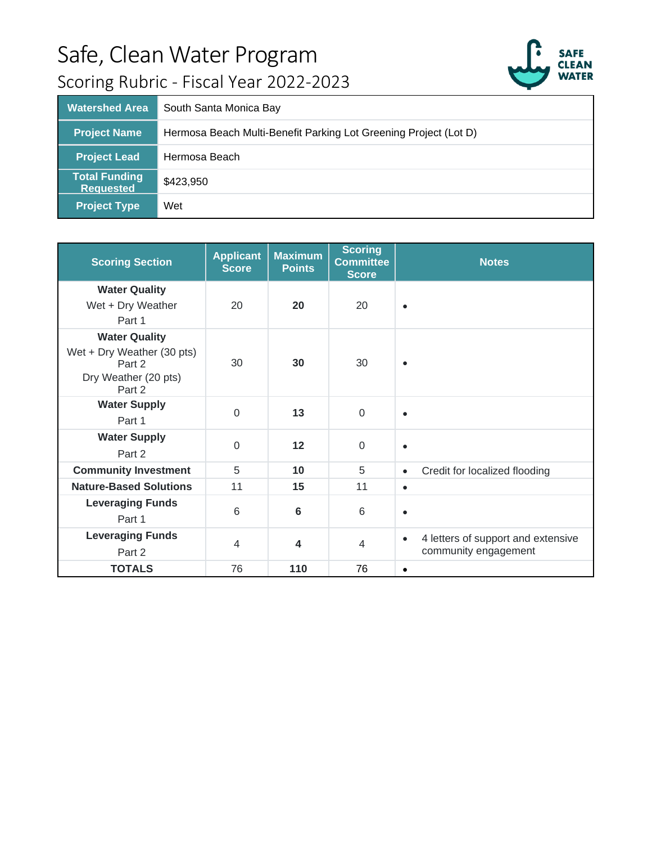

| <b>Watershed Area</b>                    | South Santa Monica Bay                                           |
|------------------------------------------|------------------------------------------------------------------|
| <b>Project Name</b>                      | Hermosa Beach Multi-Benefit Parking Lot Greening Project (Lot D) |
| <b>Project Lead</b>                      | Hermosa Beach                                                    |
| <b>Total Funding</b><br><b>Requested</b> | \$423,950                                                        |
| <b>Project Type</b>                      | Wet                                                              |

| <b>Scoring Section</b>                                                                         | <b>Applicant</b><br><b>Score</b> | <b>Maximum</b><br><b>Points</b> | <b>Scoring</b><br><b>Committee</b><br><b>Score</b> | <b>Notes</b>                                                            |
|------------------------------------------------------------------------------------------------|----------------------------------|---------------------------------|----------------------------------------------------|-------------------------------------------------------------------------|
| <b>Water Quality</b><br>Wet + Dry Weather<br>Part 1                                            | 20                               | 20                              | 20                                                 | $\bullet$                                                               |
| <b>Water Quality</b><br>Wet + Dry Weather (30 pts)<br>Part 2<br>Dry Weather (20 pts)<br>Part 2 | 30                               | 30                              | 30                                                 | $\bullet$                                                               |
| <b>Water Supply</b><br>Part 1                                                                  | $\Omega$                         | 13                              | $\overline{0}$                                     | $\bullet$                                                               |
| <b>Water Supply</b><br>Part 2                                                                  | $\Omega$                         | 12                              | $\mathbf 0$                                        | $\bullet$                                                               |
| <b>Community Investment</b>                                                                    | 5                                | 10                              | 5                                                  | Credit for localized flooding<br>$\bullet$                              |
| <b>Nature-Based Solutions</b>                                                                  | 11                               | 15                              | 11                                                 | $\bullet$                                                               |
| <b>Leveraging Funds</b><br>Part 1                                                              | 6                                | 6                               | 6                                                  | $\bullet$                                                               |
| <b>Leveraging Funds</b><br>Part 2                                                              | $\overline{4}$                   | $\overline{\mathbf{4}}$         | $\overline{4}$                                     | 4 letters of support and extensive<br>$\bullet$<br>community engagement |
| <b>TOTALS</b>                                                                                  | 76                               | 110                             | 76                                                 | $\bullet$                                                               |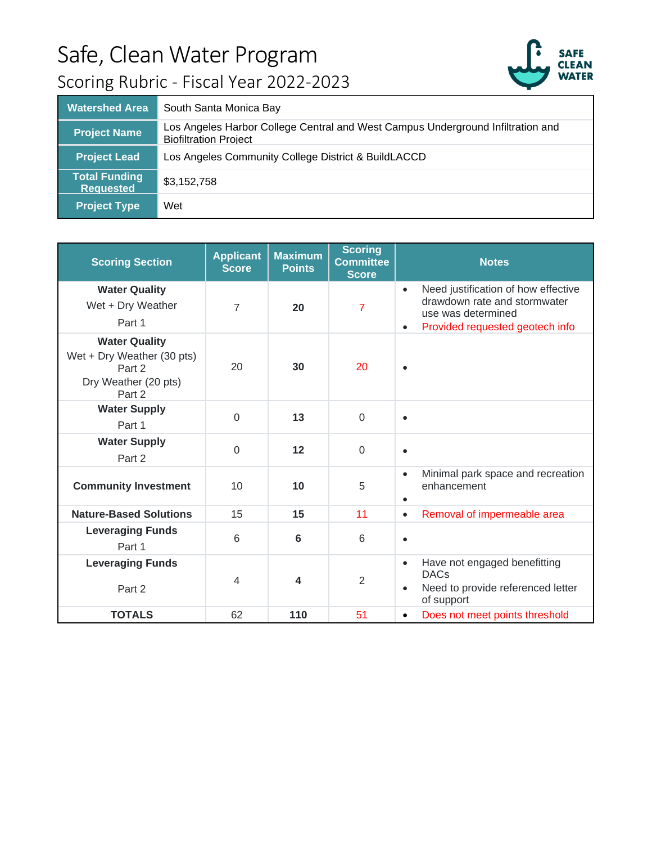

| <b>Watershed Area</b>                    | South Santa Monica Bay                                                                                          |
|------------------------------------------|-----------------------------------------------------------------------------------------------------------------|
| <b>Project Name</b>                      | Los Angeles Harbor College Central and West Campus Underground Infiltration and<br><b>Biofiltration Project</b> |
| <b>Project Lead</b>                      | Los Angeles Community College District & BuildLACCD                                                             |
| <b>Total Funding</b><br><b>Requested</b> | \$3,152,758                                                                                                     |
| <b>Project Type</b>                      | Wet                                                                                                             |

| <b>Scoring Section</b>                                                                         | <b>Applicant</b><br><b>Score</b> | <b>Maximum</b><br><b>Points</b> | <b>Scoring</b><br><b>Committee</b><br><b>Score</b> | <b>Notes</b>                                                                                                                                           |
|------------------------------------------------------------------------------------------------|----------------------------------|---------------------------------|----------------------------------------------------|--------------------------------------------------------------------------------------------------------------------------------------------------------|
| <b>Water Quality</b><br>Wet + Dry Weather<br>Part 1                                            | $\overline{7}$                   | 20                              | $\overline{7}$                                     | Need justification of how effective<br>$\bullet$<br>drawdown rate and stormwater<br>use was determined<br>Provided requested geotech info<br>$\bullet$ |
| <b>Water Quality</b><br>Wet + Dry Weather (30 pts)<br>Part 2<br>Dry Weather (20 pts)<br>Part 2 | 20                               | 30                              | 20                                                 | $\bullet$                                                                                                                                              |
| <b>Water Supply</b><br>Part 1                                                                  | $\Omega$                         | 13                              | $\overline{0}$                                     | $\bullet$                                                                                                                                              |
| <b>Water Supply</b><br>Part 2                                                                  | $\Omega$                         | 12                              | $\overline{0}$                                     | $\bullet$                                                                                                                                              |
| <b>Community Investment</b>                                                                    | 10                               | 10                              | 5                                                  | Minimal park space and recreation<br>$\bullet$<br>enhancement<br>$\bullet$                                                                             |
| <b>Nature-Based Solutions</b>                                                                  | 15                               | 15                              | 11                                                 | Removal of impermeable area<br>$\bullet$                                                                                                               |
| <b>Leveraging Funds</b><br>Part 1                                                              | 6                                | 6                               | 6                                                  | $\bullet$                                                                                                                                              |
| <b>Leveraging Funds</b><br>Part 2                                                              | $\overline{4}$                   | $\overline{\mathbf{4}}$         | $\overline{2}$                                     | Have not engaged benefitting<br>$\bullet$<br><b>DACs</b><br>Need to provide referenced letter<br>$\bullet$<br>of support                               |
| <b>TOTALS</b>                                                                                  | 62                               | 110                             | 51                                                 | Does not meet points threshold<br>$\bullet$                                                                                                            |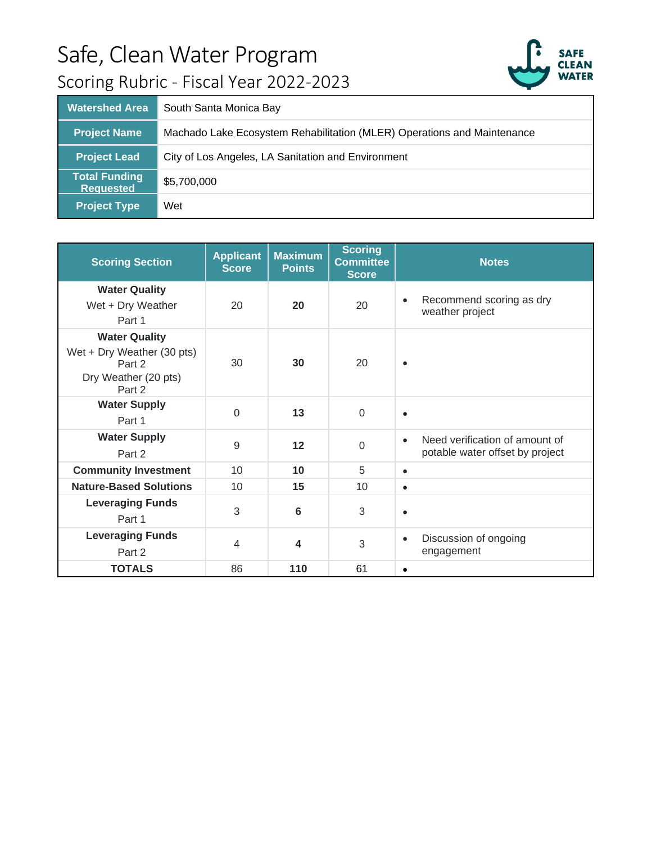

| <b>Watershed Area</b>                    | South Santa Monica Bay                                                  |
|------------------------------------------|-------------------------------------------------------------------------|
| <b>Project Name</b>                      | Machado Lake Ecosystem Rehabilitation (MLER) Operations and Maintenance |
| <b>Project Lead</b>                      | City of Los Angeles, LA Sanitation and Environment                      |
| <b>Total Funding</b><br><b>Requested</b> | \$5,700,000                                                             |
| <b>Project Type</b>                      | Wet                                                                     |

| <b>Scoring Section</b>                                                                         | <b>Applicant</b><br><b>Score</b> | <b>Maximum</b><br><b>Points</b> | <b>Scoring</b><br><b>Committee</b><br><b>Score</b> | <b>Notes</b>                                                                   |
|------------------------------------------------------------------------------------------------|----------------------------------|---------------------------------|----------------------------------------------------|--------------------------------------------------------------------------------|
| <b>Water Quality</b><br>Wet + Dry Weather<br>Part 1                                            | 20                               | 20                              | 20                                                 | Recommend scoring as dry<br>$\bullet$<br>weather project                       |
| <b>Water Quality</b><br>Wet + Dry Weather (30 pts)<br>Part 2<br>Dry Weather (20 pts)<br>Part 2 | 30                               | 30                              | 20                                                 | $\bullet$                                                                      |
| <b>Water Supply</b><br>Part 1                                                                  | $\Omega$                         | 13                              | $\Omega$                                           | $\bullet$                                                                      |
| <b>Water Supply</b><br>Part 2                                                                  | 9                                | 12                              | $\mathbf 0$                                        | Need verification of amount of<br>$\bullet$<br>potable water offset by project |
| <b>Community Investment</b>                                                                    | 10                               | 10                              | 5                                                  | $\bullet$                                                                      |
| <b>Nature-Based Solutions</b>                                                                  | 10                               | 15                              | 10                                                 | $\bullet$                                                                      |
| <b>Leveraging Funds</b><br>Part 1                                                              | 3                                | 6                               | 3                                                  | $\bullet$                                                                      |
| <b>Leveraging Funds</b><br>Part 2                                                              | $\overline{4}$                   | 4                               | 3                                                  | Discussion of ongoing<br>$\bullet$<br>engagement                               |
| <b>TOTALS</b>                                                                                  | 86                               | 110                             | 61                                                 | $\bullet$                                                                      |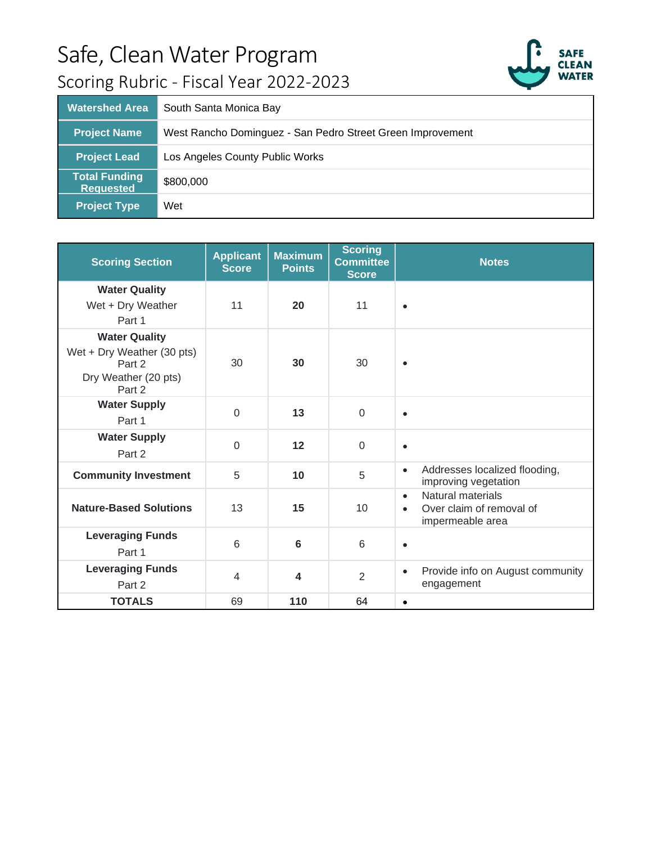

| <b>Watershed Area</b>                    | South Santa Monica Bay                                     |
|------------------------------------------|------------------------------------------------------------|
| <b>Project Name</b>                      | West Rancho Dominguez - San Pedro Street Green Improvement |
| <b>Project Lead</b>                      | Los Angeles County Public Works                            |
| <b>Total Funding</b><br><b>Requested</b> | \$800,000                                                  |
| <b>Project Type</b>                      | Wet                                                        |

| <b>Scoring Section</b>                                                                         | <b>Applicant</b><br><b>Score</b> | <b>Maximum</b><br><b>Points</b> | <b>Scoring</b><br><b>Committee</b><br><b>Score</b> | <b>Notes</b>                                                                                |
|------------------------------------------------------------------------------------------------|----------------------------------|---------------------------------|----------------------------------------------------|---------------------------------------------------------------------------------------------|
| <b>Water Quality</b><br>Wet + Dry Weather<br>Part 1                                            | 11                               | 20                              | 11                                                 | $\bullet$                                                                                   |
| <b>Water Quality</b><br>Wet + Dry Weather (30 pts)<br>Part 2<br>Dry Weather (20 pts)<br>Part 2 | 30                               | 30                              | 30                                                 | $\bullet$                                                                                   |
| <b>Water Supply</b><br>Part 1                                                                  | $\Omega$                         | 13                              | $\mathbf 0$                                        | $\bullet$                                                                                   |
| <b>Water Supply</b><br>Part 2                                                                  | $\Omega$                         | 12                              | $\Omega$                                           | $\bullet$                                                                                   |
| <b>Community Investment</b>                                                                    | 5                                | 10                              | 5                                                  | Addresses localized flooding,<br>$\bullet$<br>improving vegetation                          |
| <b>Nature-Based Solutions</b>                                                                  | 13                               | 15                              | 10                                                 | Natural materials<br>$\bullet$<br>Over claim of removal of<br>$\bullet$<br>impermeable area |
| <b>Leveraging Funds</b><br>Part 1                                                              | 6                                | 6                               | 6                                                  | $\bullet$                                                                                   |
| <b>Leveraging Funds</b><br>Part 2                                                              | $\overline{4}$                   | $\overline{\mathbf{4}}$         | $\overline{2}$                                     | Provide info on August community<br>$\bullet$<br>engagement                                 |
| <b>TOTALS</b>                                                                                  | 69                               | 110                             | 64                                                 | $\bullet$                                                                                   |